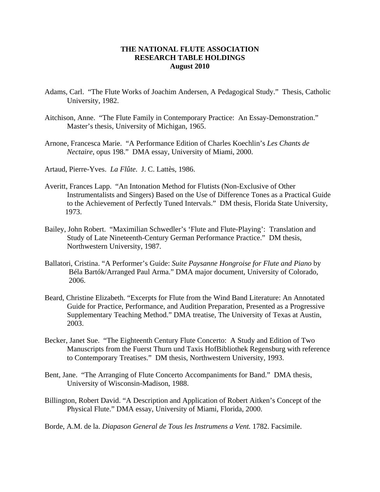## **THE NATIONAL FLUTE ASSOCIATION RESEARCH TABLE HOLDINGS August 2010**

- Adams, Carl. "The Flute Works of Joachim Andersen, A Pedagogical Study." Thesis, Catholic University, 1982.
- Aitchison, Anne. "The Flute Family in Contemporary Practice: An Essay-Demonstration." Master's thesis, University of Michigan, 1965.
- Arnone, Francesca Marie. "A Performance Edition of Charles Koechlin's *Les Chants de Nectaire*, opus 198." DMA essay, University of Miami, 2000.
- Artaud, Pierre-Yves. *La Flûte*. J. C. Lattès, 1986.
- Averitt, Frances Lapp. "An Intonation Method for Flutists (Non-Exclusive of Other Instrumentalists and Singers) Based on the Use of Difference Tones as a Practical Guide to the Achievement of Perfectly Tuned Intervals." DM thesis, Florida State University, 1973.
- Bailey, John Robert. "Maximilian Schwedler's 'Flute and Flute-Playing': Translation and Study of Late Nineteenth-Century German Performance Practice." DM thesis, Northwestern University, 1987.
- Ballatori, Cristina. "A Performer's Guide: *Suite Paysanne Hongroise for Flute and Piano* by Béla Bartók/Arranged Paul Arma." DMA major document, University of Colorado, 2006.
- Beard, Christine Elizabeth. "Excerpts for Flute from the Wind Band Literature: An Annotated Guide for Practice, Performance, and Audition Preparation, Presented as a Progressive Supplementary Teaching Method." DMA treatise, The University of Texas at Austin, 2003.
- Becker, Janet Sue. "The Eighteenth Century Flute Concerto: A Study and Edition of Two Manuscripts from the Fuerst Thurn und Taxis HofBibliothek Regensburg with reference to Contemporary Treatises." DM thesis, Northwestern University, 1993.
- Bent, Jane. "The Arranging of Flute Concerto Accompaniments for Band." DMA thesis, University of Wisconsin-Madison, 1988.
- Billington, Robert David. "A Description and Application of Robert Aitken's Concept of the Physical Flute." DMA essay, University of Miami, Florida, 2000.
- Borde, A.M. de la. *Diapason General de Tous les Instrumens a Vent.* 1782. Facsimile.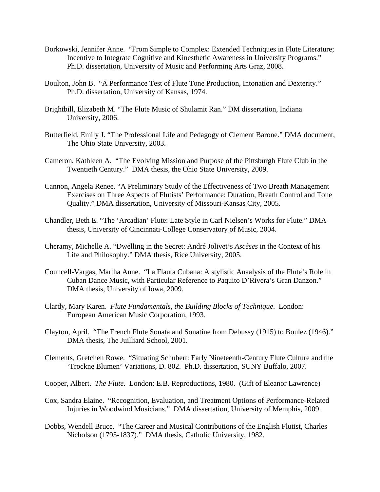- Borkowski, Jennifer Anne. "From Simple to Complex: Extended Techniques in Flute Literature; Incentive to Integrate Cognitive and Kinesthetic Awareness in University Programs." Ph.D. dissertation, University of Music and Performing Arts Graz, 2008.
- Boulton, John B. "A Performance Test of Flute Tone Production, Intonation and Dexterity." Ph.D. dissertation, University of Kansas, 1974.
- Brightbill, Elizabeth M. "The Flute Music of Shulamit Ran." DM dissertation, Indiana University, 2006.
- Butterfield, Emily J. "The Professional Life and Pedagogy of Clement Barone." DMA document, The Ohio State University, 2003.
- Cameron, Kathleen A. "The Evolving Mission and Purpose of the Pittsburgh Flute Club in the Twentieth Century." DMA thesis, the Ohio State University, 2009.
- Cannon, Angela Renee. "A Preliminary Study of the Effectiveness of Two Breath Management Exercises on Three Aspects of Flutists' Performance: Duration, Breath Control and Tone Quality." DMA dissertation, University of Missouri-Kansas City, 2005.
- Chandler, Beth E. "The 'Arcadian' Flute: Late Style in Carl Nielsen's Works for Flute." DMA thesis, University of Cincinnati-College Conservatory of Music, 2004.
- Cheramy, Michelle A. "Dwelling in the Secret: André Jolivet's *Ascèses* in the Context of his Life and Philosophy." DMA thesis, Rice University, 2005.
- Councell-Vargas, Martha Anne. "La Flauta Cubana: A stylistic Anaalysis of the Flute's Role in Cuban Dance Music, with Particular Reference to Paquito D'Rivera's Gran Danzon." DMA thesis, University of Iowa, 2009.
- Clardy, Mary Karen. *Flute Fundamentals, the Building Blocks of Technique*. London: European American Music Corporation, 1993.
- Clayton, April. "The French Flute Sonata and Sonatine from Debussy (1915) to Boulez (1946)." DMA thesis, The Juilliard School, 2001.
- Clements, Gretchen Rowe. "Situating Schubert: Early Nineteenth-Century Flute Culture and the 'Trockne Blumen' Variations, D. 802. Ph.D. dissertation, SUNY Buffalo, 2007.
- Cooper, Albert. *The Flute*. London: E.B. Reproductions, 1980. (Gift of Eleanor Lawrence)
- Cox, Sandra Elaine. "Recognition, Evaluation, and Treatment Options of Performance-Related Injuries in Woodwind Musicians." DMA dissertation, University of Memphis, 2009.
- Dobbs, Wendell Bruce. "The Career and Musical Contributions of the English Flutist, Charles Nicholson (1795-1837)." DMA thesis, Catholic University, 1982.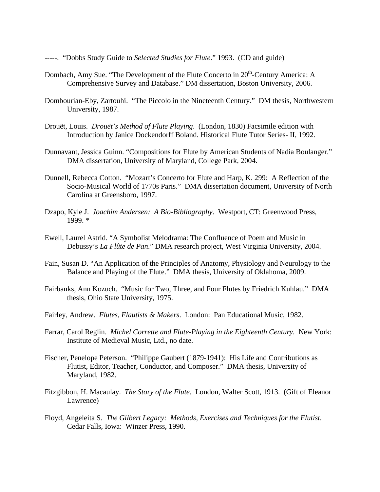- -----. "Dobbs Study Guide to *Selected Studies for Flute*." 1993. (CD and guide)
- Dombach, Amy Sue. "The Development of the Flute Concerto in 20<sup>th</sup>-Century America: A Comprehensive Survey and Database." DM dissertation, Boston University, 2006.
- Dombourian-Eby, Zartouhi. "The Piccolo in the Nineteenth Century." DM thesis, Northwestern University, 1987.
- Drouët, Louis. *Drouët's Method of Flute Playing*. (London, 1830) Facsimile edition with Introduction by Janice Dockendorff Boland. Historical Flute Tutor Series- II, 1992.
- Dunnavant, Jessica Guinn. "Compositions for Flute by American Students of Nadia Boulanger." DMA dissertation, University of Maryland, College Park, 2004.
- Dunnell, Rebecca Cotton. "Mozart's Concerto for Flute and Harp, K. 299: A Reflection of the Socio-Musical World of 1770s Paris." DMA dissertation document, University of North Carolina at Greensboro, 1997.
- Dzapo, Kyle J. *Joachim Andersen: A Bio-Bibliography*. Westport, CT: Greenwood Press, 1999. \*
- Ewell, Laurel Astrid. "A Symbolist Melodrama: The Confluence of Poem and Music in Debussy's *La Flûte de Pan*." DMA research project, West Virginia University, 2004.
- Fain, Susan D. "An Application of the Principles of Anatomy, Physiology and Neurology to the Balance and Playing of the Flute." DMA thesis, University of Oklahoma, 2009.
- Fairbanks, Ann Kozuch. "Music for Two, Three, and Four Flutes by Friedrich Kuhlau." DMA thesis, Ohio State University, 1975.
- Fairley, Andrew. *Flutes, Flautists & Makers*. London: Pan Educational Music, 1982.
- Farrar, Carol Reglin. *Michel Corrette and Flute-Playing in the Eighteenth Century.* New York: Institute of Medieval Music, Ltd., no date.
- Fischer, Penelope Peterson. "Philippe Gaubert (1879-1941): His Life and Contributions as Flutist, Editor, Teacher, Conductor, and Composer." DMA thesis, University of Maryland, 1982.
- Fitzgibbon, H. Macaulay. *The Story of the Flute*. London, Walter Scott, 1913. (Gift of Eleanor Lawrence)
- Floyd, Angeleita S. *The Gilbert Legacy: Methods, Exercises and Techniques for the Flutist*. Cedar Falls, Iowa: Winzer Press, 1990.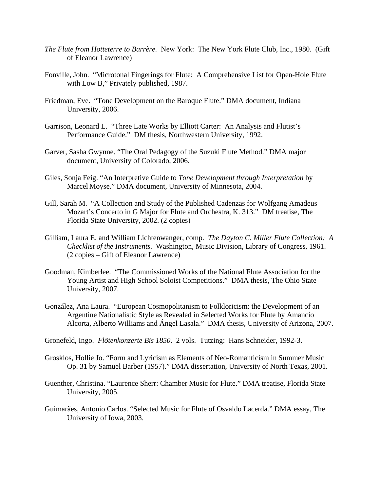- *The Flute from Hotteterre to Barrère.* New York: The New York Flute Club, Inc., 1980. (Gift of Eleanor Lawrence)
- Fonville, John. "Microtonal Fingerings for Flute: A Comprehensive List for Open-Hole Flute with Low B," Privately published, 1987.
- Friedman, Eve. "Tone Development on the Baroque Flute." DMA document, Indiana University, 2006.
- Garrison, Leonard L. "Three Late Works by Elliott Carter: An Analysis and Flutist's Performance Guide." DM thesis, Northwestern University, 1992.
- Garver, Sasha Gwynne. "The Oral Pedagogy of the Suzuki Flute Method." DMA major document, University of Colorado, 2006.
- Giles, Sonja Feig. "An Interpretive Guide to *Tone Development through Interpretation* by Marcel Moyse." DMA document, University of Minnesota, 2004.
- Gill, Sarah M. "A Collection and Study of the Published Cadenzas for Wolfgang Amadeus Mozart's Concerto in G Major for Flute and Orchestra, K. 313." DM treatise, The Florida State University, 2002. (2 copies)
- Gilliam, Laura E. and William Lichtenwanger, comp. *The Dayton C. Miller Flute Collection: A Checklist of the Instruments*. Washington, Music Division, Library of Congress, 1961. (2 copies – Gift of Eleanor Lawrence)
- Goodman, Kimberlee. "The Commissioned Works of the National Flute Association for the Young Artist and High School Soloist Competitions." DMA thesis, The Ohio State University, 2007.
- González, Ana Laura. "European Cosmopolitanism to Folkloricism: the Development of an Argentine Nationalistic Style as Revealed in Selected Works for Flute by Amancio Alcorta, Alberto Williams and Ángel Lasala." DMA thesis, University of Arizona, 2007.
- Gronefeld, Ingo. *Flötenkonzerte Bis 1850*. 2 vols. Tutzing: Hans Schneider, 1992-3.
- Grosklos, Hollie Jo. "Form and Lyricism as Elements of Neo-Romanticism in Summer Music Op. 31 by Samuel Barber (1957)." DMA dissertation, University of North Texas, 2001.
- Guenther, Christina. "Laurence Sherr: Chamber Music for Flute." DMA treatise, Florida State University, 2005.
- Guimarães, Antonio Carlos. "Selected Music for Flute of Osvaldo Lacerda." DMA essay, The University of Iowa, 2003.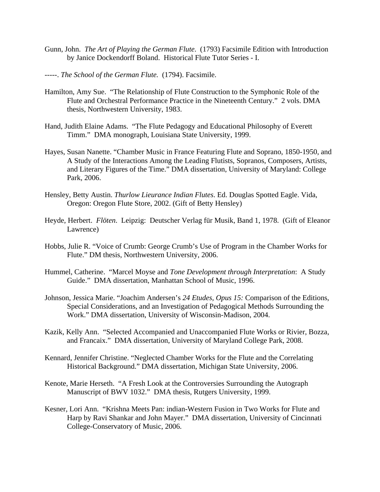- Gunn, John. *The Art of Playing the German Flute*. (1793) Facsimile Edition with Introduction by Janice Dockendorff Boland. Historical Flute Tutor Series - I.
- -----. *The School of the German Flute.* (1794). Facsimile.
- Hamilton, Amy Sue. "The Relationship of Flute Construction to the Symphonic Role of the Flute and Orchestral Performance Practice in the Nineteenth Century." 2 vols. DMA thesis, Northwestern University, 1983.
- Hand, Judith Elaine Adams. "The Flute Pedagogy and Educational Philosophy of Everett Timm." DMA monograph, Louisiana State University, 1999.
- Hayes, Susan Nanette. "Chamber Music in France Featuring Flute and Soprano, 1850-1950, and A Study of the Interactions Among the Leading Flutists, Sopranos, Composers, Artists, and Literary Figures of the Time." DMA dissertation, University of Maryland: College Park, 2006.
- Hensley, Betty Austin. *Thurlow Lieurance Indian Flutes*. Ed. Douglas Spotted Eagle. Vida, Oregon: Oregon Flute Store, 2002. (Gift of Betty Hensley)
- Heyde, Herbert. *Flöten*. Leipzig: Deutscher Verlag für Musik, Band 1, 1978. (Gift of Eleanor Lawrence)
- Hobbs, Julie R. "Voice of Crumb: George Crumb's Use of Program in the Chamber Works for Flute." DM thesis, Northwestern University, 2006.
- Hummel, Catherine. "Marcel Moyse and *Tone Development through Interpretation*: A Study Guide." DMA dissertation, Manhattan School of Music, 1996.
- Johnson, Jessica Marie. "Joachim Andersen's *24 Etudes, Opus 15:* Comparison of the Editions, Special Considerations, and an Investigation of Pedagogical Methods Surrounding the Work." DMA dissertation, University of Wisconsin-Madison, 2004.
- Kazik, Kelly Ann. "Selected Accompanied and Unaccompanied Flute Works or Rivier, Bozza, and Francaix." DMA dissertation, University of Maryland College Park, 2008.
- Kennard, Jennifer Christine. "Neglected Chamber Works for the Flute and the Correlating Historical Background." DMA dissertation, Michigan State University, 2006.
- Kenote, Marie Herseth. "A Fresh Look at the Controversies Surrounding the Autograph Manuscript of BWV 1032." DMA thesis, Rutgers University, 1999.
- Kesner, Lori Ann. "Krishna Meets Pan: indian-Western Fusion in Two Works for Flute and Harp by Ravi Shankar and John Mayer." DMA dissertation, University of Cincinnati College-Conservatory of Music, 2006.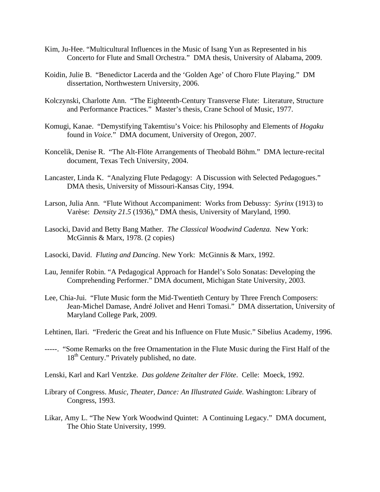- Kim, Ju-Hee. "Multicultural Influences in the Music of Isang Yun as Represented in his Concerto for Flute and Small Orchestra." DMA thesis, University of Alabama, 2009.
- Koidin, Julie B. "Benedictor Lacerda and the 'Golden Age' of Choro Flute Playing." DM dissertation, Northwestern University, 2006.
- Kolczynski, Charlotte Ann. "The Eighteenth-Century Transverse Flute: Literature, Structure and Performance Practices." Master's thesis, Crane School of Music, 1977.
- Komugi, Kanae. "Demystifying Takemtisu's Voice: his Philosophy and Elements of *Hogaku* found in *Voice.*" DMA document, University of Oregon, 2007.
- Koncelik, Denise R. "The Alt-Flöte Arrangements of Theobald Böhm." DMA lecture-recital document, Texas Tech University, 2004.
- Lancaster, Linda K. "Analyzing Flute Pedagogy: A Discussion with Selected Pedagogues." DMA thesis, University of Missouri-Kansas City, 1994.
- Larson, Julia Ann. "Flute Without Accompaniment: Works from Debussy: *Syrinx* (1913) to Varèse: *Density 21.5* (1936)," DMA thesis, University of Maryland, 1990.
- Lasocki, David and Betty Bang Mather. *The Classical Woodwind Cadenza.* New York: McGinnis & Marx, 1978. (2 copies)
- Lasocki, David. *Fluting and Dancing*. New York: McGinnis & Marx, 1992.
- Lau, Jennifer Robin. "A Pedagogical Approach for Handel's Solo Sonatas: Developing the Comprehending Performer." DMA document, Michigan State University, 2003.
- Lee, Chia-Jui. "Flute Music form the Mid-Twentieth Century by Three French Composers: Jean-Michel Damase, André Jolivet and Henri Tomasi." DMA dissertation, University of Maryland College Park, 2009.
- Lehtinen, Ilari. "Frederic the Great and his Influence on Flute Music." Sibelius Academy, 1996.
- -----. "Some Remarks on the free Ornamentation in the Flute Music during the First Half of the 18<sup>th</sup> Century." Privately published, no date.
- Lenski, Karl and Karl Ventzke. *Das goldene Zeitalter der Flöte*. Celle: Moeck, 1992.
- Library of Congress. *Music, Theater, Dance: An Illustrated Guide.* Washington: Library of Congress, 1993.
- Likar, Amy L. "The New York Woodwind Quintet: A Continuing Legacy." DMA document, The Ohio State University, 1999.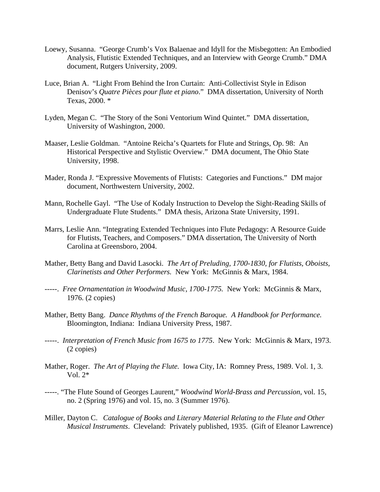- Loewy, Susanna. "George Crumb's Vox Balaenae and Idyll for the Misbegotten: An Embodied Analysis, Flutistic Extended Techniques, and an Interview with George Crumb." DMA document, Rutgers University, 2009.
- Luce, Brian A. "Light From Behind the Iron Curtain: Anti-Collectivist Style in Edison Denisov's *Quatre Pièces pour flute et piano*." DMA dissertation, University of North Texas, 2000. \*
- Lyden, Megan C. "The Story of the Soni Ventorium Wind Quintet." DMA dissertation, University of Washington, 2000.
- Maaser, Leslie Goldman. "Antoine Reicha's Quartets for Flute and Strings, Op. 98: An Historical Perspective and Stylistic Overview." DMA document, The Ohio State University, 1998.
- Mader, Ronda J. "Expressive Movements of Flutists: Categories and Functions." DM major document, Northwestern University, 2002.
- Mann, Rochelle Gayl. "The Use of Kodaly Instruction to Develop the Sight-Reading Skills of Undergraduate Flute Students." DMA thesis, Arizona State University, 1991.
- Marrs, Leslie Ann. "Integrating Extended Techniques into Flute Pedagogy: A Resource Guide for Flutists, Teachers, and Composers." DMA dissertation, The University of North Carolina at Greensboro, 2004.
- Mather, Betty Bang and David Lasocki. *The Art of Preluding, 1700-1830, for Flutists, Oboists, Clarinetists and Other Performers.* New York: McGinnis & Marx, 1984.
- -----. *Free Ornamentation in Woodwind Music, 1700-1775.* New York: McGinnis & Marx, 1976. (2 copies)
- Mather, Betty Bang. *Dance Rhythms of the French Baroque. A Handbook for Performance.* Bloomington, Indiana: Indiana University Press, 1987.
- -----. *Interpretation of French Music from 1675 to 1775*. New York: McGinnis & Marx, 1973. (2 copies)
- Mather, Roger. *The Art of Playing the Flute.* Iowa City, IA: Romney Press, 1989. Vol. 1, 3. Vol. 2\*
- -----. "The Flute Sound of Georges Laurent," *Woodwind World-Brass and Percussion*, vol. 15, no. 2 (Spring 1976) and vol. 15, no. 3 (Summer 1976).
- Miller, Dayton C. *Catalogue of Books and Literary Material Relating to the Flute and Other Musical Instruments*. Cleveland: Privately published, 1935. (Gift of Eleanor Lawrence)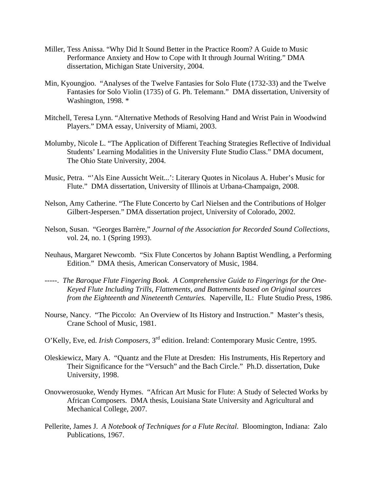- Miller, Tess Anissa. "Why Did It Sound Better in the Practice Room? A Guide to Music Performance Anxiety and How to Cope with It through Journal Writing." DMA dissertation, Michigan State University, 2004.
- Min, Kyoungjoo. "Analyses of the Twelve Fantasies for Solo Flute (1732-33) and the Twelve Fantasies for Solo Violin (1735) of G. Ph. Telemann." DMA dissertation, University of Washington, 1998. \*
- Mitchell, Teresa Lynn. "Alternative Methods of Resolving Hand and Wrist Pain in Woodwind Players." DMA essay, University of Miami, 2003.
- Molumby, Nicole L. "The Application of Different Teaching Strategies Reflective of Individual Students' Learning Modalities in the University Flute Studio Class." DMA document, The Ohio State University, 2004.
- Music, Petra. "'Als Eine Aussicht Weit...': Literary Quotes in Nicolaus A. Huber's Music for Flute." DMA dissertation, University of Illinois at Urbana-Champaign, 2008.
- Nelson, Amy Catherine. "The Flute Concerto by Carl Nielsen and the Contributions of Holger Gilbert-Jespersen." DMA dissertation project, University of Colorado, 2002.
- Nelson, Susan. "Georges Barrère," *Journal of the Association for Recorded Sound Collections*, vol. 24, no. 1 (Spring 1993).
- Neuhaus, Margaret Newcomb. "Six Flute Concertos by Johann Baptist Wendling, a Performing Edition." DMA thesis, American Conservatory of Music, 1984.
- -----. *The Baroque Flute Fingering Book. A Comprehensive Guide to Fingerings for the One- Keyed Flute Including Trills, Flattements, and Battements based on Original sources from the Eighteenth and Nineteenth Centuries.* Naperville, IL: Flute Studio Press, 1986.
- Nourse, Nancy. "The Piccolo: An Overview of Its History and Instruction." Master's thesis, Crane School of Music, 1981.
- O'Kelly, Eve, ed. *Irish Composers,* 3rd edition. Ireland: Contemporary Music Centre, 1995.
- Oleskiewicz, Mary A. "Quantz and the Flute at Dresden: His Instruments, His Repertory and Their Significance for the "Versuch" and the Bach Circle." Ph.D. dissertation, Duke University, 1998.
- Onovwerosuoke, Wendy Hymes. "African Art Music for Flute: A Study of Selected Works by African Composers. DMA thesis, Louisiana State University and Agricultural and Mechanical College, 2007.
- Pellerite, James J. *A Notebook of Techniques for a Flute Recital*. Bloomington, Indiana: Zalo Publications, 1967.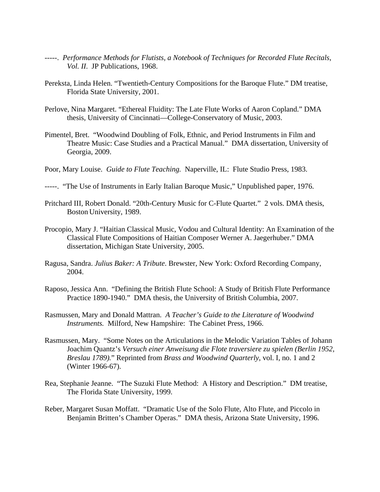- -----. *Performance Methods for Flutists, a Notebook of Techniques for Recorded Flute Recitals, Vol. II*. JP Publications, 1968.
- Pereksta, Linda Helen. "Twentieth-Century Compositions for the Baroque Flute." DM treatise, Florida State University, 2001.
- Perlove, Nina Margaret. "Ethereal Fluidity: The Late Flute Works of Aaron Copland." DMA thesis, University of Cincinnati—College-Conservatory of Music, 2003.
- Pimentel, Bret. "Woodwind Doubling of Folk, Ethnic, and Period Instruments in Film and Theatre Music: Case Studies and a Practical Manual." DMA dissertation, University of Georgia, 2009.
- Poor, Mary Louise. *Guide to Flute Teaching.* Naperville, IL: Flute Studio Press, 1983.
- -----. "The Use of Instruments in Early Italian Baroque Music," Unpublished paper, 1976.
- Pritchard III, Robert Donald. "20th-Century Music for C-Flute Quartet." 2 vols. DMA thesis, Boston University, 1989.
- Procopio, Mary J. "Haitian Classical Music, Vodou and Cultural Identity: An Examination of the Classical Flute Compositions of Haitian Composer Werner A. Jaegerhuber." DMA dissertation, Michigan State University, 2005.
- Ragusa, Sandra. *Julius Baker: A Tribute*. Brewster, New York: Oxford Recording Company, 2004.
- Raposo, Jessica Ann. "Defining the British Flute School: A Study of British Flute Performance Practice 1890-1940." DMA thesis, the University of British Columbia, 2007.
- Rasmussen, Mary and Donald Mattran. *A Teacher's Guide to the Literature of Woodwind Instruments.* Milford, New Hampshire: The Cabinet Press, 1966.
- Rasmussen, Mary. "Some Notes on the Articulations in the Melodic Variation Tables of Johann Joachim Quantz's *Versuch einer Anweisung die Flote traversiere zu spielen (Berlin 1952, Breslau 1789).*" Reprinted from *Brass and Woodwind Quarterly*, vol. I, no. 1 and 2 (Winter 1966-67).
- Rea, Stephanie Jeanne. "The Suzuki Flute Method: A History and Description." DM treatise, The Florida State University, 1999.
- Reber, Margaret Susan Moffatt. "Dramatic Use of the Solo Flute, Alto Flute, and Piccolo in Benjamin Britten's Chamber Operas." DMA thesis, Arizona State University, 1996.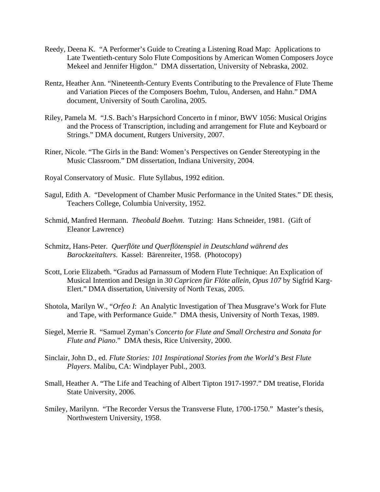- Reedy, Deena K. "A Performer's Guide to Creating a Listening Road Map: Applications to Late Twentieth-century Solo Flute Compositions by American Women Composers Joyce Mekeel and Jennifer Higdon." DMA dissertation, University of Nebraska, 2002.
- Rentz, Heather Ann. "Nineteenth-Century Events Contributing to the Prevalence of Flute Theme and Variation Pieces of the Composers Boehm, Tulou, Andersen, and Hahn." DMA document, University of South Carolina, 2005.
- Riley, Pamela M. "J.S. Bach's Harpsichord Concerto in f minor, BWV 1056: Musical Origins and the Process of Transcription, including and arrangement for Flute and Keyboard or Strings." DMA document, Rutgers University, 2007.
- Riner, Nicole. "The Girls in the Band: Women's Perspectives on Gender Stereotyping in the Music Classroom." DM dissertation, Indiana University, 2004.
- Royal Conservatory of Music. Flute Syllabus, 1992 edition.
- Sagul, Edith A. "Development of Chamber Music Performance in the United States." DE thesis, Teachers College, Columbia University, 1952.
- Schmid, Manfred Hermann. *Theobald Boehm*. Tutzing: Hans Schneider, 1981. (Gift of Eleanor Lawrence)
- Schmitz, Hans-Peter. *Querflöte und Querflötenspiel in Deutschland während des Barockzeitalters*. Kassel: Bärenreiter, 1958. (Photocopy)
- Scott, Lorie Elizabeth. "Gradus ad Parnassum of Modern Flute Technique: An Explication of Musical Intention and Design in *30 Capricen für Flöte allein, Opus 107* by Sigfrid Karg-Elert." DMA dissertation, University of North Texas, 2005.
- Shotola, Marilyn W., "*Orfeo I*: An Analytic Investigation of Thea Musgrave's Work for Flute and Tape, with Performance Guide." DMA thesis, University of North Texas, 1989.
- Siegel, Merrie R. "Samuel Zyman's *Concerto for Flute and Small Orchestra and Sonata for Flute and Piano*." DMA thesis, Rice University, 2000.
- Sinclair, John D., ed. *Flute Stories: 101 Inspirational Stories from the World's Best Flute Players*. Malibu, CA: Windplayer Publ., 2003.
- Small, Heather A. "The Life and Teaching of Albert Tipton 1917-1997." DM treatise, Florida State University, 2006.
- Smiley, Marilynn. "The Recorder Versus the Transverse Flute, 1700-1750." Master's thesis, Northwestern University, 1958.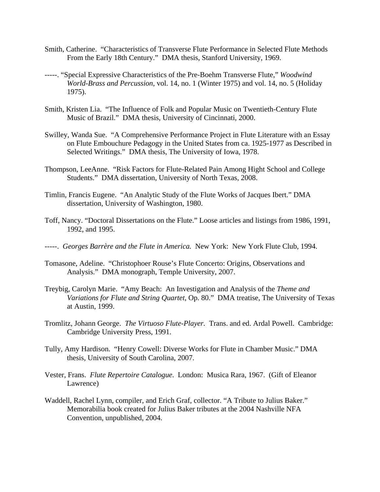- Smith, Catherine. "Characteristics of Transverse Flute Performance in Selected Flute Methods From the Early 18th Century." DMA thesis, Stanford University, 1969.
- -----. "Special Expressive Characteristics of the Pre-Boehm Transverse Flute," *Woodwind World-Brass and Percussion*, vol. 14, no. 1 (Winter 1975) and vol. 14, no. 5 (Holiday 1975).
- Smith, Kristen Lia. "The Influence of Folk and Popular Music on Twentieth-Century Flute Music of Brazil." DMA thesis, University of Cincinnati, 2000.
- Swilley, Wanda Sue. "A Comprehensive Performance Project in Flute Literature with an Essay on Flute Embouchure Pedagogy in the United States from ca. 1925-1977 as Described in Selected Writings." DMA thesis, The University of Iowa, 1978.
- Thompson, LeeAnne. "Risk Factors for Flute-Related Pain Among Hight School and College Students." DMA dissertation, University of North Texas, 2008.
- Timlin, Francis Eugene. "An Analytic Study of the Flute Works of Jacques Ibert." DMA dissertation, University of Washington, 1980.
- Toff, Nancy. "Doctoral Dissertations on the Flute." Loose articles and listings from 1986, 1991, 1992, and 1995.
- -----. *Georges Barrère and the Flute in America.* New York: New York Flute Club, 1994.
- Tomasone, Adeline. "Christophoer Rouse's Flute Concerto: Origins, Observations and Analysis." DMA monograph, Temple University, 2007.
- Treybig, Carolyn Marie. "Amy Beach: An Investigation and Analysis of the *Theme and Variations for Flute and String Quartet*, Op. 80." DMA treatise, The University of Texas at Austin, 1999.
- Tromlitz, Johann George. *The Virtuoso Flute-Player.* Trans. and ed. Ardal Powell. Cambridge: Cambridge University Press, 1991.
- Tully, Amy Hardison. "Henry Cowell: Diverse Works for Flute in Chamber Music." DMA thesis, University of South Carolina, 2007.
- Vester, Frans. *Flute Repertoire Catalogue*. London: Musica Rara, 1967. (Gift of Eleanor Lawrence)
- Waddell, Rachel Lynn, compiler, and Erich Graf, collector. "A Tribute to Julius Baker." Memorabilia book created for Julius Baker tributes at the 2004 Nashville NFA Convention, unpublished, 2004.